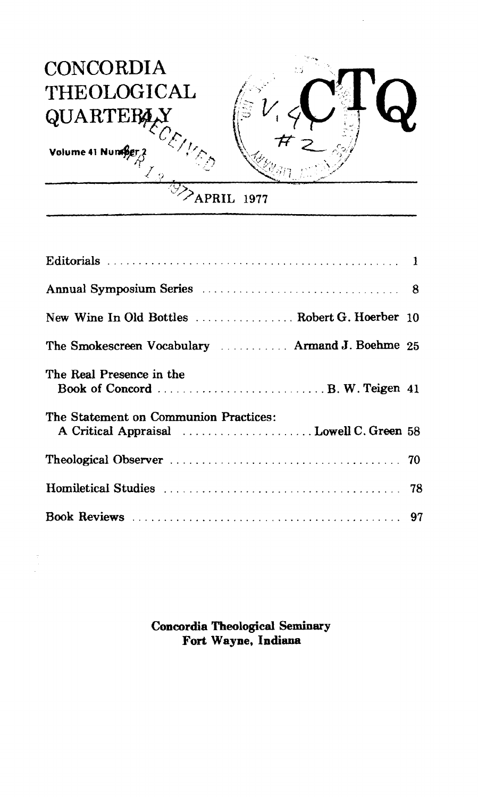

| Annual Symposium Series Manual Annual Symposium Series Manual Annual Symposium Series Manual Annual Symposium S |  |
|-----------------------------------------------------------------------------------------------------------------|--|
| New Wine In Old Bottles  Robert G. Hoerber 10                                                                   |  |
| The Smokescreen Vocabulary  Armand J. Boehme 25                                                                 |  |
| The Real Presence in the                                                                                        |  |
| The Statement on Communion Practices:                                                                           |  |
|                                                                                                                 |  |
|                                                                                                                 |  |
|                                                                                                                 |  |

**Concordia Theological Seminary Fort Wayne, Indiana**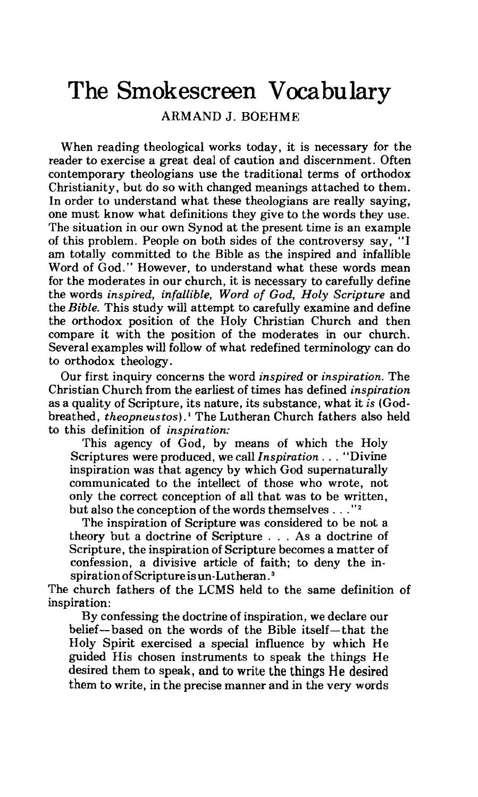## The Smokescreen Vocabulary

ARMAND J. BOEHME

When reading theological works today, it is necessary for the reader to exercise a great deal of caution and discernment. Often contemporary theologians use the traditional terms of orthodox Christianity, but do so with changed meanings attached to them. In order to understand what these theologians are really saying, one must know what definitions they give to the words they use. The situation in our own Synod at the present time is an example of this problem. People on both sides of the controversy say, "I am totally committed to the Bible as the inspired and infallible Word of God." However, to understand what these words mean for the moderates in our church, it is necessary to carefully define the words *inspired, infallible, Word of God, Holy Scripture* and the *Bible.* This study will attempt to carefully examine and define the orthodox position of the Holy Christian Church and then compare it with the position of the moderates in our church. Several examples will follow of what redefined terminology can do to orthodox theology .

Our first inquiry concerns the word *inspired* or *inspiration.* The Christian Church from the earliest of times has defined *inspiration*  as a quality of Scripture, its nature, its substance, what it *is* (Godbreathed, *theopneustos)* . ' The Lutheran Church fathers also held to this definition of *inspiration:* 

This agency of God, by means of which the Holy Scriptures were produced, we call *Inspiration* . . . "Divine inspiration was that agency by which God supernaturally communicated to the intellect of those who wrote, not onIy the correct conception of all that was to be written, but also the conception of the words themselves . . . "2

The inspiration of Scripture was considered to be not a theory but a doctrine of Scripture . . . As a doctrine of Scripture, the inspiration of Scripture becomes a matter of confession, a divisive article of faith; to deny the inspiration of Scripture is un-Lutheran.

The church fathers of the LCMS held to the same definition of inspiration:

Ry confessing the doctrine of inspiration, we declare our belief-based on the words of the Bible itself-that the Holy Spirit exercised a special influence by which He guided His chosen instruments to speak the things He desired them to speak, and to write the things He desired them to write, in the precise manner and in the very words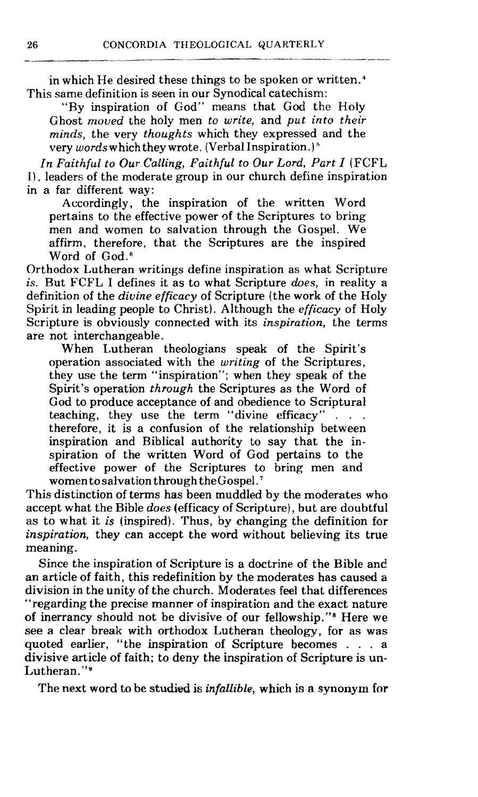----

in which He desired these things to be spoken or written.<sup>4</sup> This same definition is seen in our Synodical catechism:

"By inspiration of God" means that God the Holy Ghost moved the holy men to write, and put into their minds, the very thoughts which they expressed and the very words which they wrote. (Verbal Inspiration.)<sup>5</sup>

In Faithful *to* Our Calling, Faithful to Our Lord, Part I (FCFL **I),** leaders of the moderate group in our church define inspiration in a far different way:

Accordingly, the inspiration of the written Word pertains to the effective power of the Scriptures to bring men and women to salvation through the Gospel. We affirm, therefore, that the Scriptures are the inspired Word of God.<sup>6</sup>

Orthodox Lutheran writings define inspiration as what Scripture is. But FCFL I defines it as to what Scripture does, in reality a definition of the divine efficacy of Scripture (the work of the Holy Spirit in leading people to Christ). Although the *efficacy* of Holy Scripture is obviously connected with its *inspiration*, the terms are not interchangeable.

When Lutheran theologians speak of the Spirit's operation associated with the writing of the Scriptures, they use the term "inspiration"; when they speak of the Spirit's operation through the Scriptures as the Word of God to produce acceptance of and obedience to Scriptural teaching, they use the term "divine efficacy"... therefore, it is a confusion of the relationship between inspiration and Biblical authority to say that the inspiration of the written Word of God pertains to the effective power of the Scriptures to bring men and women to salvation through the Gospel.<sup>7</sup>

This distinction of terms has been muddled by the moderates who accept what the Bible does (efficacy of Scripture), but are doubtful as to what it is (inspired). Thus, by changing the definition for **inspiration,** they can accept the word without believing its true meaning.

Since the inspiration of Scripture is a doctrine of the Bible and an article of faith, this redefinition by the moderates has caused **a**  division in the unity of the church. Moderates feel that differences "regarding the precise manner of inspiration and the exact nature of inerrancy should not be divisive of our fellowship."\* Here we see a clear break with orthodox Lutheran theology, for as was quoted earlier, "the inspiration of Scripture becomes . . . a divisive article of faith; to deny the inspiration of Scripture is un-Lutheran."9

The next word to be **studied** is infallible, which is a synonym **for**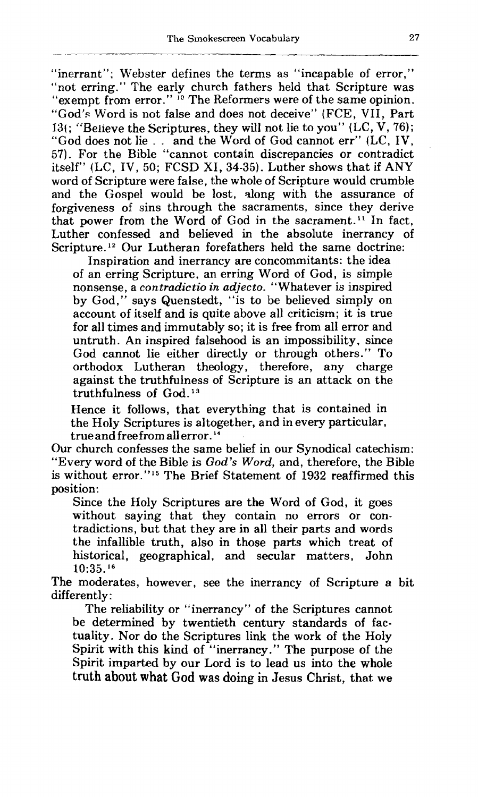"inerrant"; Webster defines the terms as "incapable of error," "not erring." The early church fathers held that Scripture was "exempt from error." <sup>10</sup> The Reformers were of the same opinion. "God's Word is not false and does not deceive" (FCE, VII, Part 13(; "Believe the Scriptures, they will not lie to you" (LC, V, 76); "God does not lie . . and the Word of God cannot err" (LC, IV, 57). For the Bible "cannot contain discrepancies or contradict itself" (LC, IV, 50; FCSD XI, 34-35). Luther shows that if ANY word of Scripture were false, the whole of Scripture would crumble and the Gospel would be lost, along with the assurance of forgiveness of sins through the sacraments, since they derive that power from the Word of God in the sacrament." In fact, Luther confessed and believed in the absolute inerrancy of Scripture.<sup>12</sup> Our Lutheran forefathers held the same doctrine:

Inspiration and inerrancy are concommitants: the idea of an erring Scripture, an erring Word of God, is simple nonsense, a contradictio in adjecto. "Whatever is inspired by God," says Quenstedt, "is to be believed simply on account of itself and is quite above all criticism; it is true for all times and immutably so; it is free from all error and untruth. An inspired falsehood is an impossibility, since God cannot lie either directly or through others." To orthodox Lutheran theology, therefore, any charge against the truthfulness of Scripture is an attack on the truthfulness of God.<sup>13</sup>

Hence it follows, that everything that is contained in the Holy Scriptures is altogether, and in every particular, true and free from all error. **l4** 

Our church confesses the same belief in our Synodical catechism: "Every word of the Bible is *God's* Word, and, therefore, the Bible is without error."15 The Brief Statement of **1932** reaffirmed this position:

Since the Holy Scriptures are the Word of God, it goes without saying that they contain no errors or contradictions, but that they are in all their parts and words the infallible truth, also in those parts which treat of historical, geographical, and secular matters, John **10:35. l6** 

The moderates, however, see the inerrancy of Scripture *a* bit differently:

The reliability or "inerrancy" of the Scriptures cannot be determined by twentieth century standards of factuality. Nor do the Scriptures link the work of the Holy Spirit with this **kind** of "inerrancy." The purpose of the Spirit imparted by our Lord is to lead us into the whole truth about **what** God **was** doing in Jesus Christ, that we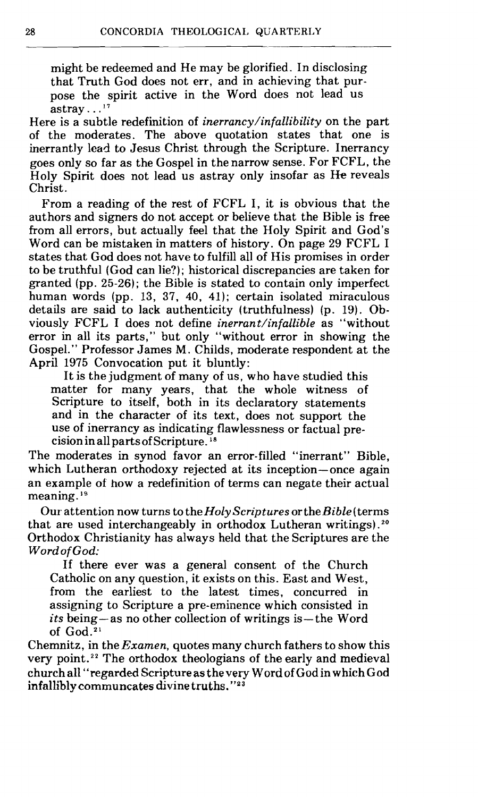might be redeemed and He may be glorified. In disclosing that Truth God does not err, and in achieving that purpose the spirit active in the Word does not lead us astray... $^{17}$ 

Here is a subtle redefinition of *inerrancy/infallibility* on the part of the moderates. The above quotation states that one is inerrantly lead to Jesus Christ through the Scripture. Inerrancy goes only so far as the Gospel in the narrow sense. For FCFL, the Holy Spirit does not lead us astray only insofar as **He** reveals Christ.

From a reading of the rest of FCFL I, it is obvious that the authors and signers do not accept or believe that the Bible is free from all errors, but actually feel that the Holy Spirit and God's Word can be mistaken in matters of history. On page 29 FCFL I states that God does not have to fulfill all of His promises in order to be truthful (God can lie?); historical discrepancies are taken for granted (pp. 25-26); the Bible is stated to contain only imperfect human words (pp. 13, 37, 40, 41); certain isolated miraculous details are said to lack authenticity (truthfulness) (p. 19). Obviously FCFL I does not define inerrant/infallible as "without error in all its parts," but only "without error in showing the Gospel." Professor James M. Childs, moderate respondent at the April 1975 Convocation put it bluntly:

It is the judgment of many of us, who have studied this matter for many years, that the whole witness of Scripture to itself, both in its declaratory statements and in the character of its text, does not support the use of inerrancy as indicating flawlessness or factual precision in all parts of Scripture.

The moderates in synod favor an error-filled "inerrant" Bible, which Lutheran orthodoxy rejected at its inception-once again an example of how a redefinition of terms can negate their actual meaning.<sup>19</sup>

Our attention now turns to the Holy Scriptures or the Bible (terms that are used interchangeably in orthodox Lutheran writings). **<sup>20</sup>** Orthodox Christianity has always held that the Scriptures are the Word of God:

If there ever was a general consent of the Church Catholic on any question, it exists on this. East and West, from the earliest to the latest times, concurred in assigning to Scripture a pre-eminence which consisted in  $its being—as no other collection of writings is—the Word$ of God.2'

Chemnitz, in the  $Examen$ , quotes many church fathers to show this very point. **22** The orthodox theologians of the early and medieval church **all "regarded Scripture as** the very Word of God in which God **infallibly** communcates divine **truths. ''23**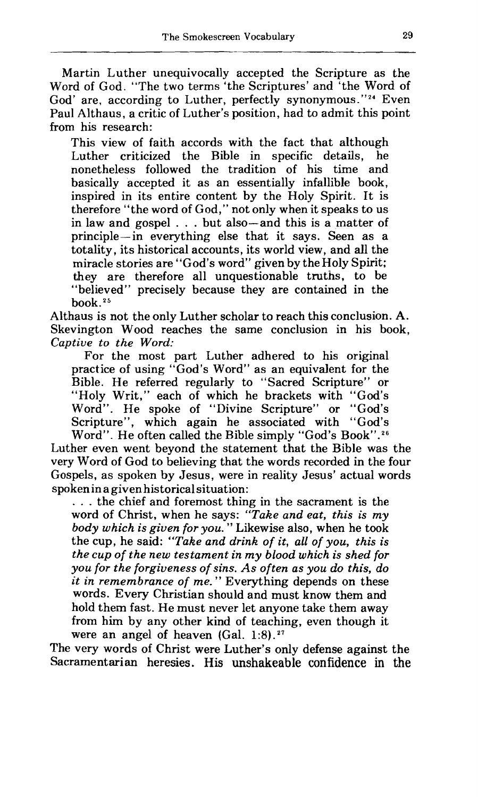Martin Luther unequivocally accepted the Scripture as the Word of God. "The two terms 'the Scriptures' and 'the Word of God' are, according to Luther, perfectly synonymous."<sup>24</sup> Even Paul Althaus, a critic of Luther's position, had to admit this point from his research:

This view of faith accords with the fact that although<br>Luther criticized the Bible in specific details, he Luther criticized the Bible in specific details, nonetheless followed the tradition of his time and basically accepted it as an essentially infallible book, inspired in its entire content by the Holy Spirit. It is therefore "the word of God," not only when it speaks to us in law and gospel . . . but also-and this is a matter of principle-in everything else that it says. Seen as a totality, its historical accounts, its world view, and all the miracle stories are "God's word" given by the Holy Spirit; they are therefore all unquestionable truths, to be "believed" precisely because they are contained in the book.<sup>25</sup>

Althaus is not the only Luther scholar to reach this conclusion. A. Skevington Wood reaches the same conclusion in his book, *Captiue to the Word:* 

For the most part Luther adhered to his original practice of using "God's Word" as an equivalent for the Bible. He referred regularly to "Sacred Scripture" or "Holy Writ," each of which he brackets with "God's Word". He spoke of "Divine Scripture" or "God's Scripture", which again he associated with "God's Word". He often called the Bible simply "God's Book".26

Luther even went beyond the statement that the Bible was the very Word of God to believing that the words recorded in the four Gospels, as spoken by Jesus, were in reality Jesus' actual words spoken in a given historical situation:

. . . the chief and foremost thing in the sacrament is the word of Christ, when he says: *"Take and eat, this is my body which is given for you.*" Likewise also, when he took the cup, he said: *"Take and drink of it, all of you, this is the cub of the new testament in my blood which is shed for you for the forgiveness of sins. As often as you do this, do it in remembrance of me.* " Everything depends on these words. Every Christian should and must know them and hold them fast. He must never let anyone take them away from him by any other kind of teaching, even though it were an angel of heaven (Gal. 1:8).<sup>27</sup>

The very words of Christ were Luther's only defense against the Sacramentarian heresies. His unshakeable confidence in the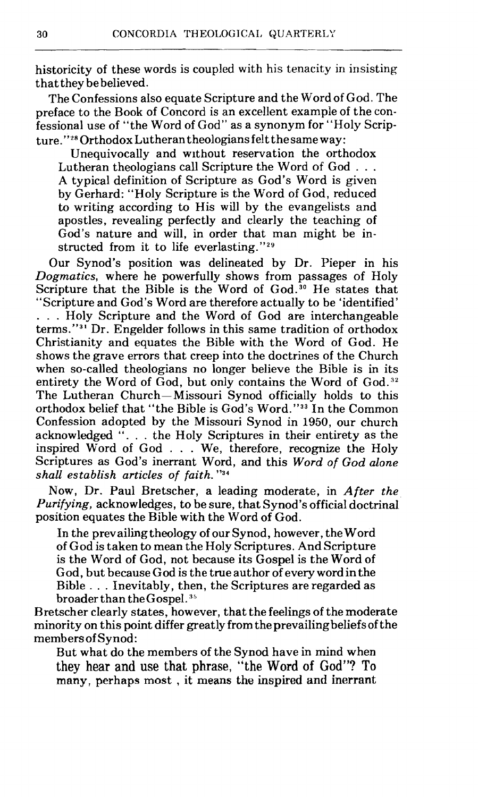historicity of these words is coupled with his tenacity in insisting that they be believed.

The Confessions also equate Scripture and the Word of God. The preface to the Book of Concord is an excellent example of the confessional use of "the Word of God" as a synonym for "Holy Scripture."<sup>28</sup> Orthodox Lutheran theologians felt the same way:

Unequivocally and without reservation the orthodox<br>Lutheran theologians call Scripture the Word of God... A typical definition of Scripture as God's Word is given by Gerhard: "Holy Scripture is the Word of God, reduced to writing according to His will by the evangelists and apostles, revealing perfectly and clearly the teaching of God's nature and will, in order that man might be instructed from it to life everlasting."<sup>29</sup>

Our Synod's position was delineated by Dr. Pieper in his *Dogmatics,* where he powerfully shows from passages of Holy Scripture that the Bible is the Word of God.<sup>30</sup> He states that "Scripture and God's Word are therefore actually to be 'identified' . . . Holy Scripture and the Word of God are interchangeable terms."<sup>31</sup> Dr. Engelder follows in this same tradition of orthodox Christianity and equates the Bible with the Word of God. He shows the grave errors that creep into the doctrines of the Church when so-called theologians no longer believe the Bible is in its entirety the Word of God, but only contains the Word of God.<sup>32</sup> The Lutheran Church- Missouri Synod officially holds to this orthodox belief that "the Bible is God's Word."33 In the Common Confession adopted by the Missouri Synod in 1950, our church acknowledged "... the Holy Scriptures in their entirety as the inspired Word of God . . . We, therefore, recognize the Holy Scriptures as God's inerrant Word, and this *Word of* God *alone shall establish articles of faith.* "34

Now, Dr. Paul Bretscher, a leading moderate, in *After the Purifying,* acknowledges, to be sure, that Synod's official doctrinal position equates the Bible with the Word of God.

In the prevailing theology of our Synod, however, the Word of God is taken to mean the Holy Scriptures. And Scripture is the Word of God, not because its Gospel is the Word of God, but because God is the true author of every word in the Bible . . . Inevitably, then, the Scriptures are regarded as broader than the Gospel. **:35** 

Bretscher clearly states, however, that the feelings of the moderate minority on this point differ greatly from the prevailing beliefs of the members of Synod :

But what do the members of the Synod have in mind when they hear and use that phrase, "the Word of God"? To **many,** perhaps **most** , it **means the inspired and inerrant**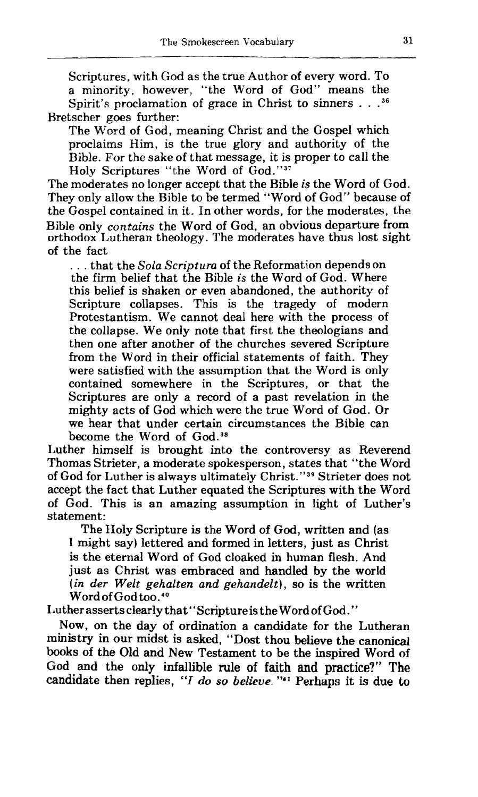Scriptures, with God as the true Author of every word. To a minority, however, "the Word of God" means the Spirit's proclamation of grace in Christ to sinners . . . **<sup>36</sup>** Bretscher goes further:

The Word of God, meaning Christ and the Gospel which proclaims Him, is the true glory and authority of the Bible. For the sake of that message, it is proper to call the Holy Scriptures "the Word of God."37

The moderates no longer accept that the Bible is the Word of God. They only allow the Bible to be termed "Word of God" because of the Gospel contained in it. In other words, for the moderates, the Bible only **contains** the Word of God, an obvious departure from orthodox Lutheran theology. The moderates have thus lost sight of the fact

... that the Sola Scriptura of the Reformation depends on the firm belief that the Bible is the Word of God. Where this belief is shaken or even abandoned, the authority of Scripture collapses. This is the tragedy of modern Protestantism. We cannot deal here with the process of the collapse. We only note that first the theologians and then one after another of the churches severed Scripture from the Word in their official statements of faith. They were satisfied with the assumption that the Word is only contained somewhere in the Scriptures, or that the Scriptures are only a record of a past revelation in the mighty acts of God which were the true Word of God. Or we hear that under certain circumstances the Bible can become the Word of God.<sup>38</sup>

Luther himself is brought into the controversy as Reverend Thomas Strieter, a moderate spokesperson, states that "the Word of God for Luther is always ultimately Christ. " **39** Strieter does not accept the fact that Luther equated the Scriptures with the Word of God. This is an amazing assumption in light of Luther's statement:

The Holy Scripture is the Word of God, written and (as I might say) lettered and formed in letters, just as Christ is the eternal Word of God cloaked in human flesh. And just as Christ was embraced and handled by the world  $(in$  der Welt gehalten and gehandelt), so is the written Word of God too.<sup>40</sup>

Luther asserts clearly that "Scriptureis the Word of God."

Now, on the day of ordination a candidate for the Lutheran ministry in our midst is asked, "Dost thou believe the canonical books of the Old and New Testament to be the inspired Word of God and the only infallible rule of faith and practice?" The candidate then replies, "I do so believe. "<sup>41</sup> Perhaps it is due to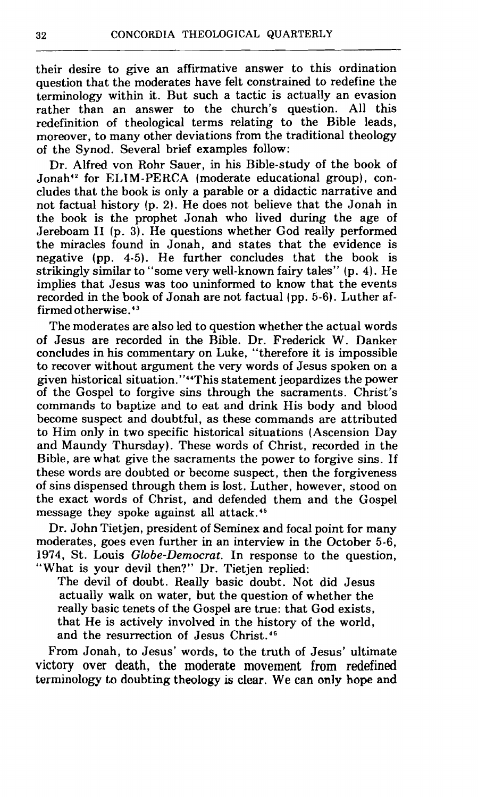their desire to give an affirmative answer to this ordination question that the moderates have felt constrained to redefine the terminology within it. But such a tactic is actually an evasion rather than an answer to the church's question. All this redefinition of theological terms relating to the Bible leads, moreover, to many other deviations from the traditional theology of the Synod. Several brief examples follow:

Dr. Alfred von Rohr Sauer, in his Bible-study of the book of Jonah<sup>42</sup> for ELIM-PERCA (moderate educational group), concludes that the book is only a parable or a didactic narrative and not factual history (p. 2). He does not believe that the Jonah in the book is the prophet Jonah who lived during the age of Jereboam **I1** (p. 3). He questions whether God really performed the miracles found in Jonah, and states that the evidence is negative (pp. 4-5). He further concludes that the book is strikingly similar to "some very well-known fairy tales" (p. 4). He implies that Jesus was too uninformed to know that the events recorded in the book of Jonah are not factual (pp. 5-6). Luther affirmed otherwise. 43

The moderates are also led to question whether the actual words of Jesus are recorded in the Bible. Dr. Frederick W. Danker concludes in his commentary on Luke, "therefore it is impossible to recover without argument the very words of Jesus spoken on a given historical situation."<sup>44</sup>This statement jeopardizes the power of the Gospel to forgive sins through the sacraments. Christ's commands to baptize and to eat and drink His body and blood become suspect and doubtful, as these commands are attributed to Him only in two specific historical situations (Ascension Day and Maundy Thursday). These words of Christ, recorded in the Bible, are what give the sacraments the power to forgive sins. If these words are doubted or become suspect, then the forgiveness of sins dispensed through them is Iost. Luther, however, stood on the exact words of Christ, and defended them and the Gospel message they spoke against all attack.<sup>45</sup>

Dr. John Tietjen, president of Seminex and focal point for many moderates, goes even further in an interview in the October 5-6, 1974, St. Louis Globe-Democrat. In response to the question, "What is your devil then?" Dr. Tietjen replied:

The devil of doubt. Really basic doubt. Not did Jesus actually walk on water, but the question of whether the really basic tenets of the Gospel are true: that God exists, that He is actively involved in the history of the world, and the resurrection of Jesus Christ.46

From Jonah, to Jesus' words, to the truth of Jesus' ultimate victory over death, the moderate movement from redefined terminology to doubting theology is clear. We **can only hope and**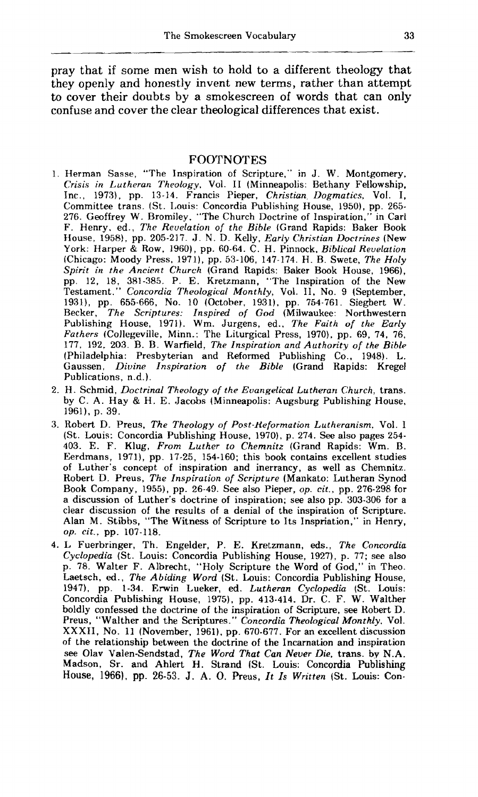pray that if some men wish to hold to a different theology that they openly and honestly invent new terms, rather than attempt to cover their doubts by **a** smokescreen of words that can only confuse and cover the clear theological differences that exist.

## FOOTNOTES

- 1. Herman Sasse, "The Inspiration of Scripture," in J. W. Montgomery, *Crisis in Lutheran Theology.* Vol. I1 (Minneapolis: Bethany Fellowship, Inc., 1973), pp. 13-14. Francis Pieper, *Christian Dogmatics*, Vol. I, Committee trans. (St. 1,ouis: Concordia Publishing House, 1950), pp. 265- 276. Geoffrey W. Bromiley. "The Church Doctrine of Inspiration," in Carl F. Henry. ed., *The Revelation of the Bib14* (Grand Rapids: Raker Book House, 1958), pp. 205-217. J. N. D. Kelly. *Early Christian Doctrines* (New York: Harper & Row, 1960), pp. 60-64. C. H. Pinnock, *Biblical Revelation*  (Chicago: Moody Press, 1971), pp. 53-106, 147-174. H. B. Swete, *The Holy Spirit in the Ancient Church* (Grand Rapids: Baker Book House, 1966), pp. 12, 18, 381-385. P. E. Kretzmann, "The Inspiration of the New Testament," *Concordia Theological Monthly,* Vol. 11, No. 9 (September, 1931), pp. 655-666, No. 10 (October, 1931), pp. 754-761. Siegbert W. Recker, *The Scriptures: Inspired of God* (Milwaukee: Northwestern Publishing House, 1971). Wm. Jurgens, ed., *The Faith of the Early Fathers* (Collegeville, Minn.: The Liturgical Press, 1970), pp. 69, 74, 76, 177, 192. 203. B. B. Warfield, *The Inspiration and Authority of the Bibb*  (Philadelphia: Presbyterian and Reformed Publishing Co., 1948). L. Gaussen, *Divine Inspiration of the Bible* (Grand Rapids: Kregel Publications, n.d.).
- 2. H. Schrnid, *Doctrinal Theology of the Evangelical Lutherarl Church,* trans. by *C.* A. Hay & H. E. Jacobs (Minneapolis: Augsburg Publishing House, 1961), p. 39.
- 3. Robert D. Preus, *The Theology of Post-Keformatwn Lutheranism.* Vol. *<sup>I</sup>* (St. Louis: Concordia Publishing House. 1970), p. 274. See also pages 254- 403. E. F. Klug, *From Luther to Chemnitz* (Grand Rapids: Wm. B. Eerdmans, 1971), pp. 17-25, 154-160; this book contains excellent studies of Luther's concept of inspiration and inerrancy, as well as Chemnitz. Robert D. Preus, *The Inspiration of Scripture* (Mankato: Lutheran Synod Book Company, 1955), pp. 26-49. See also Pieper, *op. cit.,* pp. 276-298 for a discussion of Luther's doctrine of inspiration; see also pp. 303-306 for a clear discussion of the results of a denial of the inspiration of Scripture. Alan M. Stibbs, "The Witness of Scripture to Its Inspriation," in Henry, *op. cit..* pp. 107-118.
- 4. L Fuerbringer, Th. Engelder, P. E. Kretzmann, eds., *The Concordia Cyclopedia* (St. Louis: Concordia Publishing House, 1927), p. 77; see also p. 78. Walter F. Albrecht, "Holy Scripture the Word of God," in Theo. Laetsch, ed., *The A biding Word* (St. Louis: Concordia Publishing House, 1947). pp. 1-34. Erwin Lueker, ed. *Lutheran Cyclopedia* (St. Louis: Concordia Publishing House, 1975). pp. 413-414. Dr. C. F. W. Walther boldly confessed the doctrine of the inspiration of Scripture, see Robert D. Preus, " Walther and the Scriptures. " *Concordia Theological Monthly.* Vol. *XXXII,* No. 11 (November, 1961). pp. 670-677. For an excellent discussion of the relationship between the doctrine of the Incarnation and inspiration see Olav Valen-Sendstad, *The Word That Can Never* **Die.** trans. by N.A. Madson, Sr. and Ahlert H. Strand (St. Louis: Concordia Publishing House, **1966), pp. 26-53.** J. **A.** 0. Preus, It Is *Written* (St. Louis: Con-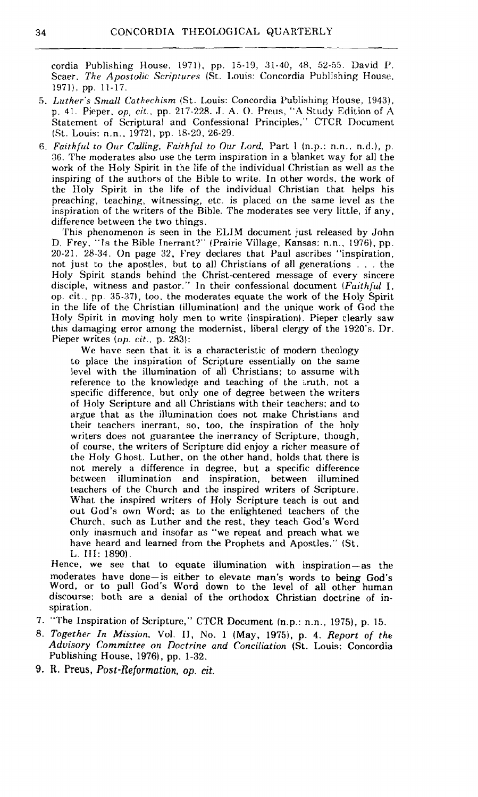cordia Publishing House. 1971), pp. 15-19, 31-40, 48, 52-55. David P. Scaer. The *Apostolic Scriptures* (St. Louis: Concordia Publishing House, 1971). pp. 11-17.

- 5. *Luther's Small Cathechism* (St. Louis: Concordia Publishing House, 1943), p. 41. Pieper. *op, cit..* pp. 217-228. J. **A.** 0. Preus, **"A** Study Edition of A Statement of Scriptural and Confessional Principles," CTCR Document (St. Louis: n.n.. 19721, pp. 18-20, 26-29.
- *6. Faithful to Our Calling, Faithful to Our Lord.* Part *I* (n.p.: n.n.. n.d.), p **36. The** moderates also use the term inspiration in a blanket way for all the work of the Holy Spirit in the life of the individual Christian as well as the inspiring of the authors of the Bible to write. In other words, the work of the Holy Spirit in the life of the individual Christian that helps his preaching, teaching, witnessing, etc. is placed on the same level as the inspiration of the writers of the Bible. The moderates see very little, if any, difference between the two things.

This phenomenon is seen in the **ELIM** document just released by John D. Frey. "Is the Bible Inerrant?" (Prairie Village. Kansas: n.n., 1976), pp. 20-21. 28-34. On page 32, Frey declares that Paul ascribes "inspiration, not just to the apostles, but to all Christians of all generations . . . the Holy Spirit stands behind the Christ-centered message of every sincere disciple, witness and pastor." In their confessional document *(Faithful* I, op. cit , pp. 35-37), too, the moderates equate the work of the Holy Spirit in the life of the Christian (illumination) and the unique work of God the Holy Spirit in moving holy men to write (inspiration). Pieper clearly saw this damaging error among the modernist, liberal clergy of the 1920's. Dr. Pieper writes *(op. cit..* p. 283):

We have seen that it is a characteristic of modern theology to place the inspiration of Scripture essentially on the same level with the illumination of all Christians: to assume with reference to the knowledge and teaching of the truth, not a specific difference, but only one of degree between the writers of Holy Scripture and all Christians with their teachers; and to argue that as the illumination does not make Christians and their teachers inerrant, so, too, the inspiration of the holy writers does not guarantee the inerrancy of Scripture, though, of course, the writers of Scripture did enjoy a richer measure of the Holy Ghost. Luther, on the other hand, holds that there is not merely a difference in degree, but a specific difference between illumination and inspiration, between illumined teachers of the Church and the inspired writers of Scripture. What the inspired writers of Holy Scripture teach is out and out God's own Word; as to the enlightened teachers of the Church. such as Luther and the rest, they teach God's Word only inasmuch and insofar as "we repeat and preach what we have heard and learned from the Prophets and Apostles." (St. **L.** 111: 1890).

Hence, we see that to equate illumination with inspiration-as the moderates have done-is either to elevate man's words to being God's Word, or to pull God's Word down to the level of **all** other human discourse: both are a denial of the orthodox Christian doctrine of inspiration.

- 7. "The Inspiration of Scripture," CTCR Document (n.p.: n.n., 1975), p. 15.
- 8. *Together* **In** *Mission.* Vol. **11, No.** 1 (May, 1975), p. 4. *Report* of *the Advisory Committee orr Doctrine and Conciliation* (St. Louis: Concordia Publishing House,  $1976$ , pp. 1-32.
- **9.** R. **Preus,** *Post-Reformation, op.* **cit.**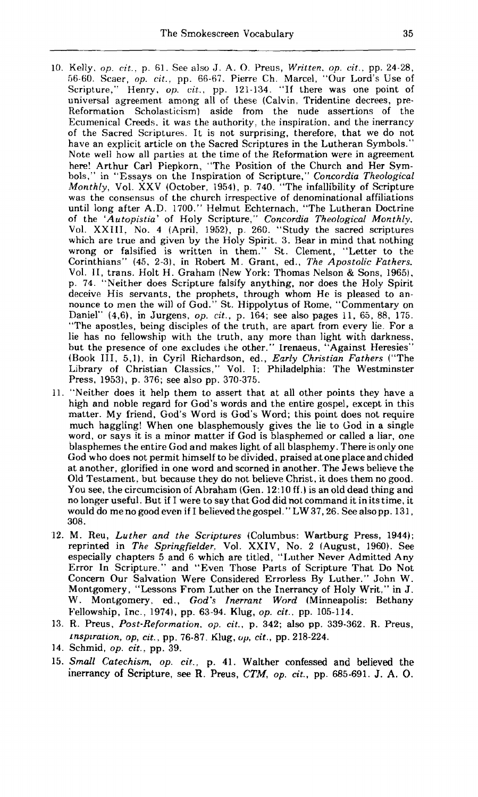- **10.** Kelly, op. *cit..* p. **61.** See also J. *A.* 0. Preus, *Written. on. cit.,* **pp. 24-28, 56-60.** Scaer, *op. cit..* pp. 66-67. Pierre Ch. Marcel, "Our Lord's Use of Scripture," Henry, op. cit., pp. 121-134. "If there was one point of universal agreement among all of these (Calvin, Tridentine decrees, pre-Reformation Scholasticism) aside from the nude assertions of the Ecumenical Creeds. it was the authority. the inspiration. and the inerrancy of the Sacred Scriptures. It is not surprising, therefore, that we do not have an explicit article on the Sacred Scriptures in the Lutheran Symbols." Note well how all parties at the time of the Reformation were in agreement here! Arthur Carl Piepkorn, "The Position of the Church and Her Sym-bols ," in "Essays on the Inspiration of Scripture," *Concordia Theological Monthly,* Vol. XXV (October, **1954),** p. **740.** "The infallibility of Scripture was the consensus of the church irrespective of denominational affiliations until long after A.D. **1700."** Helmut Echternach, "The Lutheran Doctrine of the 'Autopistia' of Holy Scripture," *Concordia Theological Monthly*, Vol. XXIII. No. **4** (April. 1952), p. **26C.** "Study the sacred scriptures which are true and given by the Holy Spirit. **3.** Bear in mind that nothing wrong or falsified is written in them." St. Clement, "Letter to the Corinthians" **(45. 2-31,** in Robert M. Grant, **ed.,** *The Apostolic Fathers.*  Vol. 11, trans. Holt H. Graham (New York: Thomas Nelson & Sons, **1965),**  p. **74.** "Neither does Scripture falsify anything, nor does the Holy Spirit deceive His servants, the prophets, through whom He is pleased to announce to men the will of God." St. Hippolytus of Rome, "Commentary on Daniel" **(3,6).** in Jurgens, *op. cit.,* p. **164;** see also pages **11,** 65, 88, **175.**  "The apostles, being disciples of the truth, are apart from every lie. For a lie has no fellowship with the truth, any more than light with darkness, but the presence of one excludes the other." Irenaeus, "Against Heresies" (Book 111, **5,l).** in Cyril Richardson, ed., *Early Christian Fathers* ("The Library of Christian Classics," Vol. I; Philadelphia: The Westminster Press, **1953),** p. **376;** see also pp. **370-37.5.**
- **11.** "Neither does it help them to assert that at all other points they have a high and noble regard for God's words and the entire gospel, except in this matter. My friend, God's Word is God's Word; this point does not require much haggling! When one blasphemously gives the lie to God in a single word, or says it is a minor matter if God is blasphemed or called a liar, one blasphemes the entire God and makes light of all blasphemy. There is only one God who does not permit himself to be divided, praised at one place and chided at another, glorified in one word and scorned in another. The Jews believe the Old Testament. but because they do not believe Christ, it does them no good. You see, the circumcision of Abraham (Gen. **12: 10** ff .) is an old dead thing and no longer useful. But if I were to say that God did not command it inits time, it would do me no good even if I beIieved thegospeI." LW **37,26.** See also **pp. 131, 308.**
- **12.** M. Reu, *Luther and the Scriptures* (Columbus: Wartburg Press, **1944);**  reprinted in *The Springfielder.* Vol. XXIV, No. **2** (August, **1960).** See especially chapters **5** and 6 which are titled, "Luther Never Admitted Any Error In Scripture." and "Even Those Parts of Scripture That Do Not Concern Our Salvation Were Considered Errorless By Luther." John W. Montgomery, "Lessons From Luther on the Inerrancy of Holy Writ," in J. W . Montgomery, ed., *God's Inerrant Word* (Minneapolis: Bethany Fellowship, Inc., **19741,** pp. **63-94.** Klug, *op. cit.,* pp. **105-114.**
- **13.** R. Preus, *Post-Reformation. op. cit.,* p. **342;** also pp. **339-362.** R. Preus, *lnsplration, op, cit.,* pp. **76-87.** Klug, **op,** *cit.,* pp. **218-224.**
- **14.** Schmid, *op. cit.,* pp. **39.**
- **15.** *Small Catechism, op. cit.,* **p. 41.** Walther confessed and **believed** the inerrancy **of** Scripture, see R. Preus, *CTM, op. cit.,* pp. **685-691.** *J.* **A. 0.**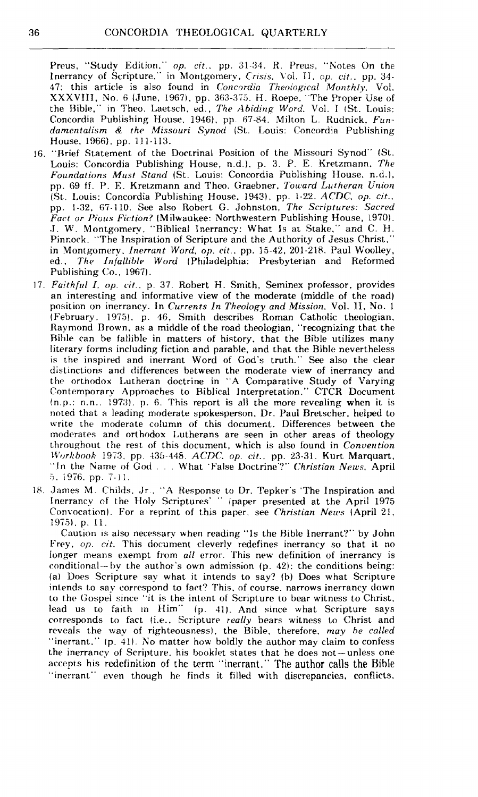Preus, "Study Edition." *op. cit.*, pp. 31-34. R. Preus, "Notes On the Inerrancy of Scripture." in Montgomery, *Crisis*, Vol. II, *cp. cit.*, pp. 34-47: this article is also found in *Concordia Theological Monthly*. Vol. XXXVIII, No. 6 (June, 1967), pp. 363-375. H. Roepe, "The Proper Use of the Bible," in Theo. Laetsch. ed.. *The Abiding Word*. Vol. I (St. Louis: Concordia Publishing House, 1946), pp. 67-84. Milton L. Rudnick. Fun*damentalism 8 the Missouri Synod* iSt. Louis: Concordia Publishing House. 1966). pp. 111-113.

- **!6.** "Brief Statement of the Doctrinal Position of the &lissouri Synod" (St. Louis: Concordia Publishing House, n.d.). p. **3.** P. E. Kretzmann, *The Foundations Must Stand* (St. Louis: Concordia Publishing House, n.d.1, pp. 69 ff. P. E. Kretzmann and Theo. Graebner, *Toward Lutheran Union* (St.. 1,ouis: Concordia Publishing House, **i943).** pp. 1-22. **ACDC:.** *op. cit..*  pp. 1-32, 67-110. See also Robert G. Johnston, *The Scriptures: Sacred* Fact or Pious Fiction? (Milwaukee: Northwestern Publishing House, 1970). J. W. Montgomery. "Biblical Inerrancy: What Is at Stake," and C. H. Pinnock. "The Inspiration of Scripture and the Authority of Jesus Christ." in Montgomery. *Inerrant Word, op. cit.*, pp. 15-42, 201-218. Paul Woolley, ed.. *The Infallible Word* (Philadelphia: Presbyterian and Reformed Publishing Co., 1967).
- 17. *Fuithfitl I. op. cit..* p. **37.** Robert H. Smith, Seminex professor. provides an interesting and informative view of the moderate (middle of the road) position on inerrancy. In *Currents In Theology and Mission*, Vol. 11, No. 1 (February. 1975). p. 46. Smith describes Roman Catholic theologian, Raymond Brown. as a middle of the road theologian, "recognizing that the Rihle can be fallible in matters of history. that the Bible utilizes many literary forms including fiction and parable, and that the Bible nevertheless is the inspired and inerrant Word of God's truth." See also the clear distinctions and differences between the moderate view of inerrancy and the orthodox Lutheran doctrine in "A Comparative Study of Varying Contemporary Approaches to Biblical Interpretation." CTCR Document !n.p.: n.n.. **1973).** p. 6. This report is all the more revealing when it is noted that a leading moderate spokesperson, Dr. Paul Bretscher. helped to write the moderate column of this document. Differences between the moderates and orthodox Lutherans are seen in other areas of theology throughout the rest of this document, which is also found in *Converition IVorkbook* 1973, pp. 435-448. *ACDC. op. cit..* pp. **23-31.** Kurt Marquart, "In the Name of God . . . What 'False Doctrine'?" *Christian News*, April 5. **i976.** pp. 7-11.
- 18. James **M.** Childs. Jr. "A Response to Dr. Tepker's 'The Inspiration and Inerrancy of the Holy Scriptures' " ipaper presented at the April **<sup>1975</sup>** Convocation). For a reprint of this paper, see *Christian News* (April 21, 19751. p. 11.

Caution is also necessary when reading "Is the Bible Inerrant?" by John Frey. *op. cit.* This document cleverlv redefines inerrancy so that it no longer means exempt from *ail* error. This new definition of inerrancy is conditional-- by the author's own admission  $(p. 42)$ : the conditions being: (a) Does Scripture say what it intends to say? **(1))** Does what Scripture intends to say correspond to fact? This, of course, narrows inerrancy down to the Gospel since "it is the intent of Scripture to bear witness to Christ, lead us to faith in Him" **(p.** 41). And since what Scripture says corresponds to fact (i.e., Scripture *really* bears witness to Christ and reveals the way of righteousness), the Bible, therefore. *may be called* "inerrant." **(p. 41).** No matter how boldly the author may claim to confess the inerrancy of Scripture. his booklet states hat he does not-unless one accepts his redefinition of the term "inerrant." The author calls the Bible "inerrant" even though he finds it filled with discrepancies, conflicts,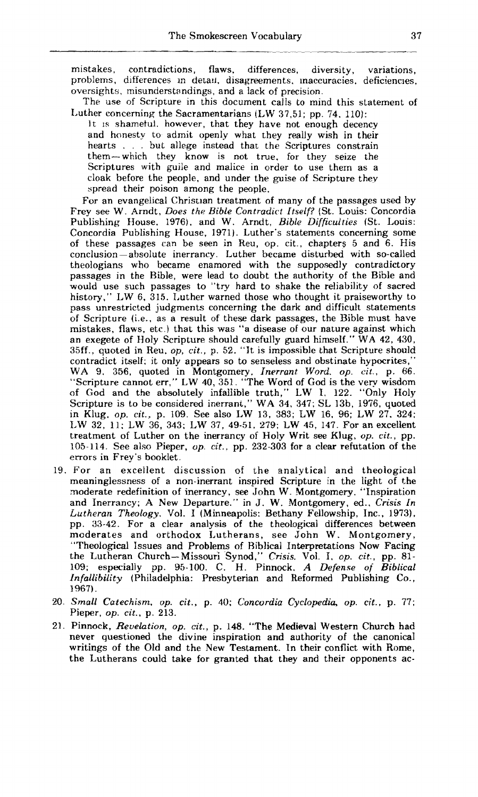mistakes, contradictions, flaws. differences, diversity, variations, problems, differences in detail, disagreements, inaccuracies, deficiencies, oversights, misunderstandings, and a lack of precision.

The use of Scripture in this document calls to mind this statement of Luther concerning the Sacramentarians (LW **37.51;** pp. **74. 110):** 

It is shametui. however, that they have not enough decency and honesty to admit openly what they really wish in their hearts . . . but allege instead that the Scriptures constrain them-which they know is not true. for they seize the Scriptures with guile and malice in order to use them as a cloak before the people, and under the guise of Scripture they spread their poison among the people.

For an evangelical Christian treatment of many of the passages used by Frey see W. Arndt, *Does the Bible Contradict Itself?* (St. Louis: Concordia Publishing House. **1976),** and W. Arndt, *Bible Difficulties* (St. Louis: Concordia Publishing House, **1971).** Luther's statements concerning some of these passages can be seen in Reu, op. cit., chapters 5 and 6. His conclusion - absolute inerrancy. Luther became disturbed with so-called theologians who became enamored with the supposedly contradictory passages in the Bible, were lead to doubt the authority of the Bible and would use such passages to "try hard to shake the reliability of sacred history," LW 6, 315. Luther warned those who thought it praiseworthy to pass unrestricted judgments concerning the dark and difficult statements of Scripture (i.e.. as a result of these dark passages, the Bible must have mistakes, flaws, etc.) that this was "a disease of our nature against which an exegete of Holy Scripture should carefully guard himself." WA 42, 430, 35ff., quoted in Reu. *op, cit.,* p. **52.** "It is impossible that Scripture should contradict itself: it only appears so to senseless and obstinate hypocrites," WA 9, **356,** quoted in Montgomery, *Inerrant Word. op.* **cit.,** p. *66.*  "Scripture cannot err," LW **40, 351.** "The Word of God is the very wisdom of God and the absolutely infallible truth," LW 1. **122.** "Only Holy Scripture is to be considered inerrant," WA **34, 347; SL 13b, 1976,** quoted **in** Klug, op. **cit.,** p. **109.** See also LW **13,** 383; **LW 16, 96;** LW **27. 324;**  LW **32. 11:** LW **36, 343;** LW **37, 49-51. 279;** LW **45, 147.** For an excellent treatment of Luther on the inerrancy of Holy Writ see Klug, *op. cit.,* pp. **105-114.** See also Pieper, *up. cit..* pp. **232-303** for a clear refutation of the errors in Frey's booklet.

- **19.** For an excellent discussion of the analytical and theological meaninglessness of a non-inerrant inspired Scripture in the light of the moderate redefinition of inerrancy, see John W. Montgomery. "Inspiration and Inerrancy; A Xew Departure." in J. W. Montgomery, **ed., Crisis** *In Lutheran Theology.* Vol. I (Minneapolis: Bethany Fellowship, Inc., 1973), pp. 33-42. For a clear analysis of the theological differences between moderates and orthodox Lutherans, see John W. Montgomery, "Theological Issues and Problems of Biblical Interpretations Now Facing the Lutheran Church-Missouri Synod," Crisis. Vol. I, *op.* **cit., pp. 81- 109;** especially pp. **95-100.** C. H. Pinnock. *A Defense oi Biblical Infallibility* (Philadelphia: Presbyterian and Reformed Publishing Co., **1967).**
- **20.** *Small Catechism. op. cit..* p. **40;** *Concordia Cyclopedia, op. cit.,* **p. 77;**  Pieper, *op. cit..* p. **213.**
- **21.** Pinnock, *Revelation. op. cit.,* p. *148.* "The Medieval Western Church had never questioned the divine inspiration and authority of the canonical writings of the Old and the New Testament. In their conflict with Rome, the Lutherans could take for granted that they and their opponents ac-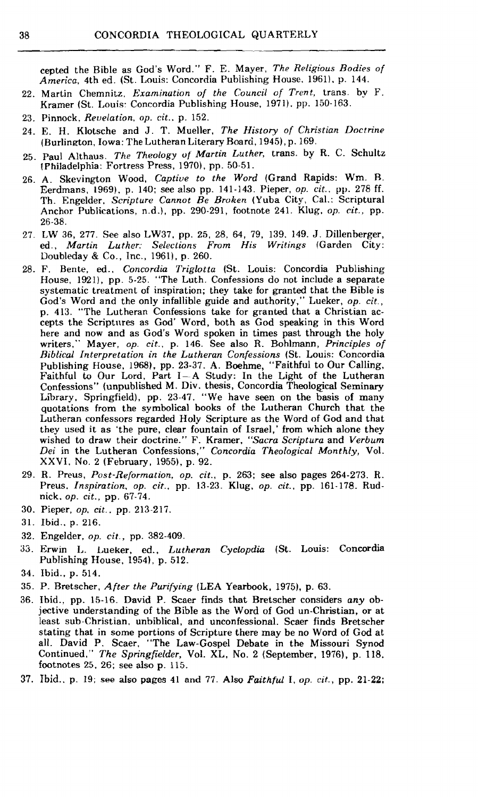cepted the Bible as God's Word." F. E. Mayer, *The Religious Bodies of America,* 4th ed. (St. Louis: Concordia Publishing House, **1961).** p. **144.** 

- **22.** Martin Chemnitz, *Examination of the Council of Trent,* trans. by F. Kramer (St. Louis: Concordia Publishing House, 1971). pp. 150-163.
- **23.** Pinnock. *Reuelation, op. cit..* p. **152.**
- **24.** E. **H.** Klotsche and J. T. Mueller, *The History of Christian Doctrine*  (Burlinaton, Iowa: The Lutheran Literary Roarci, **1945),** p. **169.**
- **25.** Paul Althaus. *The Theology of Martin Luther,* trans. by R. *C.* Schultz (Philadelphia: Fortress Press, **1970).** pp. **50-51.**
- **26.** A. Skevington Wood. *Captive to the Word* (Grand Rapids: Wm. R. Eerdmans, **1969).** p. **140;** see also pp. **141-143.** Pieper, *op. cit.,* **pp. 278** ff. Th. Engelder, *Scripture Cannot Be Broken* (Yuba City, Cal.: Scriptural Anchor Publications, n.d.), pp. **290-291,** footnote **241.** Klug, *op. cit.,* pp. **26-38.**
- **27. LW 36, 277.** See also **LW37,** pp. 25, **28.** 64, **79, 139. 149. J.** Dillenberger, ed., *Martin Luther: Selections From His Writings* (Garden City: Doubleday & Co., Inc., **1961),** p. **260.**
- **28. F.** Bente, **ed.,** *Concordia Triglotta* (St. Louis: Concordia Publishing House. **1921),** pp. **5-25.** "The Luth. Confessions do not include a separate systematic treatment of inspiration; they take for granted that the Bible is God's Word and the only infallible guide and authority," Lueker, *op. cit.,*  p. **413.** "The Lutheran Confessions take for granted that a Christian accepts the Scriptures as God' Word, both as God speaking in this Word here and now and as God's Word spoken in times past through the holy writers," Mayer, *op. cit.,* p. **146.** See also **R.** Bohlmann, *Principles of Biblical Interpretation in the Lutheran Confessions* (St. Louis: Concordia Publishing House, **1968).** pp. **23-37. A.** Boehme, "Faithful to Our Calling, Faithful to Our Lord, Part I-A Study: In the Light of the Lutheran Confessions" (unpublished M. Div. thesis, Concordia Theological Seminary Library, Springfield), pp. **23-47.** "We have seen on the basis of many quotations from the symbolical books of the Lutheran Church that the Lutheran confessors regarded Holy Scripture as the Word of God and that they used it as 'the pure, clear fountain of Israel,' from which alone they wished to draw their doctrine." F. Kramer, *"Sacra Scriptura* and *Verbum Dei* in the Lutheran Confessions," *Concordia Theological Monthly,* Vol. XXVI. No. **2** (February, **19551,** p. **92.**
- **29. R.** Preus, *Post-Reformation, op. cit.,* p. **263;** see also pages **264-273.** R. Preus. *Inspiration, op. cit.,* pp. **13-23.** Klug, *op. cit.,* pp. **161-178.** Rudnick, *op. cit.,* pp. **67-74.**
- **30.** Pieper, *op, cit..* pp. **213-217.**
- **31.** Ibid.. **p. 216.**
- **32.** Engelder, *op. cit.,* pp. **382-409.**
- 33. Erwin L. Lueker, ed., *Lutheran Cyclopdia* (St. Louis: Concordia Publishing House, **1954),** p. **512.**
- **34.** Ibid., **p. 514.**
- **35.** P. Rretscher, *After the Purifying* (LEA Yearbook, **1975),** p. **63.**
- **36.** Ihid., pp. **15-16.** David P. Scaer finds that Bretscher considers *any* objective understanding of the Bible as the Word of God un-Christian, or at least sub-Christian, unbiblical, and unconfessional. Scaer finds Bretscher stating that in some portions of Scripture there may be no Word of God at all. David P. Scaer, "The Law-Gospel Debate in the Missouri Synod Continued," *The Springfielder,* Vol. *XL,* No. **2** (September, **1976).** p. **118,**  footnotes **25, 26;** see also **p. 115.**
- 37. Ibid.. p. 19; see also pages **41** and **77.** Also *Faithful* I, *op. cit.,* pp. *21-22;*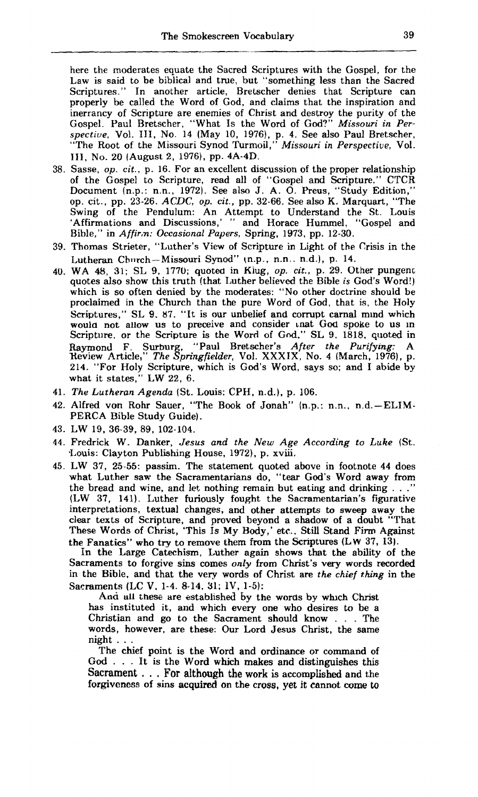here the moderates equate the Sacred Scriptures with the Gospel, for the Law is said to be biblical and true, but "something less than the Sacred Scriptures." In another article, Bretscher denies that Scripture can properly be called the Word of God, and claims that the inspiration and inerrancy of Scripture are enemies of Christ and destroy the purity of the Gospel. Paul Bretscher, "What Is the Word of God?" *Missouri in Perspectiue.* Vol. 111, No. 14 (May 10, 1976). p. 4. See also Paul Bretscher, "The Root of the Missouri Synod Turmoil," *Missouri in Perspective,* Vol. 111, No. 20 (August 2, 1976), pp. 4A-4D.

- 38. Sasse, *op. cit.,* p. 16. For an excellent discussion of the proper relationship of the Gospel to Scripture, read all of "Gospel and Scripture." CTCR Document (n.p.: n.n., 1972). See also J. A. 0. Preus, "Study Edition," op. cit., pp. 23-26. *ACDC,* op. *cit.,* pp. 32-66. See also K. Marquart, "The Swing of the Pendulum: An Attempt to Understand the St. Louis 'Affirmations and Discussions,' " and Horace Hummel, "Gospel and Bible," in A *ffir;n: Occasional Papers,* Spring. 1973, pp. 12-30.
- 39. Thomas Strieter, "Luther's View of Scripture in Light of the Crisis in the Lutheran Church-Missouri Synod" (n.p., n.n.. n.d.), p. 14.
- 40. WA 48, **31;** SL 9, 1770; quoted in Kiug, *op. cit.,* p. 29. Other pungenr; quotes also show this truth (that Luther believed the Bible *is* God's Word!) which is so often denied by the moderates: "No other doctrine should be proclaimed in the Church than the pure Word of God, that is, the Holy Scriptures," SL 9. 87. "It is our unbelief and corrupt carnal mind which would not allow us to preceive and consider unat God spoke to us in Scriptiire. or the Scripture is the Word of **Gnd,"** SL 9. 1818. quoted in Raymond F. Surburg. "Paul Bretscher's *After the Purifyzng:* A Xeview Article," *The Springfielder,* Vol. XXXIX, No. 4 (March, 1976), p. 214. "For Holy Scripture, which is God's Word, says so; and I abide by what it states," LW 22, 6.
- 41. *The Lutheran Agenda* (St. Louis: CPH, n-d.), p. 106.
- 42. Alfred von Rohr Sauer, "The **Book** of Jonah" (n.p.: n.n.. n.d.-ELIM-PERCA Bible Study Guide).
- 43. LW 19, 36-39, 89, 102-104.
- 44. Fredrick W. Danker, *Jesus and the New Age According to Luke* (St. .Louis: Clayton Publishing House, 1972), p. xviii.
- **45.** LW 37, 25-55: passim. The statement quoted above in footnote 44 does what Luther saw the Sacramentarians do, "tear God's Word away from the bread and wine, and let nothing remain but eating and drinking  $\ldots$ " (LW 37, 141). Luther furiously fought the Sacramentarian's figurative interpretations, textual changes, and other attempts to sweep away the clear texts of Scripture, and proved beyond a shadow of a doubt "That These Words of Christ, 'This Is My Body,' etc., Still Stand Firm Against the Fanatics" who try to remove them from the Scriptures **(L w 37,** 13).

In the Large Catechism, Luther again shows that the ability of the Sacraments to forgive sins comes *only* from Christ's very words recorded in the Bible. and that the very words of Christ are *the chief thing* in the Sacraments (LC V. 1-4. 8-14. 31; 1V. 1-5):

And all these are established by the words by whlch Christ has instituted it, and which every one who desires **to** be a Christian and go to the Sacrament should know . . . The words, however, are these: Our Lord Jesus Christ, the same night . . . The chief point is the Word and ordinance or command of

God . . . It is the Word which makes and distinguishes this Sacrament . . . For although the work is accomplished and the forgiveness of **sins** acquired on the cross, yet it cannot **come** to